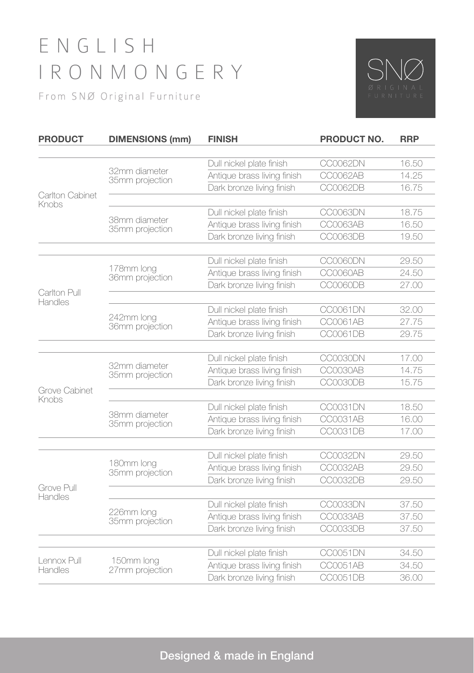## E N G L I S H IRONMONGERY

From SNØ Original Furniture



| <b>PRODUCT</b>           | <b>DIMENSIONS (mm)</b>           | <b>FINISH</b>                                            | PRODUCT NO.          | <b>RRP</b>     |
|--------------------------|----------------------------------|----------------------------------------------------------|----------------------|----------------|
| Carlton Cabinet<br>Knobs | 32mm diameter<br>35mm projection | Dull nickel plate finish                                 | CC0062DN             | 16.50          |
|                          |                                  | Antique brass living finish                              | CC0062AB             | 14.25          |
|                          |                                  | Dark bronze living finish                                | CC0062DB             | 16.75          |
|                          | 38mm diameter<br>35mm projection | Dull nickel plate finish                                 | CC0063DN             | 18.75          |
|                          |                                  | Antique brass living finish                              | CC0063AB             | 16.50          |
|                          |                                  | Dark bronze living finish                                | CC0063DB             | 19.50          |
| Carlton Pull<br>Handles  | 178mm long<br>36mm projection    | Dull nickel plate finish                                 | CC0060DN             | 29.50          |
|                          |                                  | Antique brass living finish                              | CC0060AB             | 24.50          |
|                          |                                  | Dark bronze living finish                                | CC0060DB             | 27.00          |
|                          | 242mm long<br>36mm projection    | Dull nickel plate finish                                 | CC0061DN             | 32.00          |
|                          |                                  | Antique brass living finish                              | CC0061AB             | 27.75          |
|                          |                                  | Dark bronze living finish                                | CC0061DB             | 29.75          |
| Grove Cabinet<br>Knobs   | 32mm diameter<br>35mm projection | Dull nickel plate finish                                 | CC0030DN             | 17.00          |
|                          |                                  | Antique brass living finish                              | CC0030AB             | 14.75          |
|                          |                                  | Dark bronze living finish                                | CC0030DB             | 15.75          |
|                          | 38mm diameter<br>35mm projection | Dull nickel plate finish                                 | CC0031DN             | 18.50          |
|                          |                                  | Antique brass living finish                              | CC0031AB             | 16.00          |
|                          |                                  | Dark bronze living finish                                | CC0031DB             | 17.00          |
|                          |                                  | Dull nickel plate finish                                 | CC0032DN             | 29.50          |
|                          | 180mm long<br>35mm projection    | Antique brass living finish                              | CC0032AB             | 29.50          |
|                          |                                  | Dark bronze living finish                                | CC0032DB             | 29.50          |
| Grove Pull<br>Handles    |                                  |                                                          |                      |                |
|                          | 226mm long                       | Dull nickel plate finish                                 | CC0033DN             | 37.50          |
|                          | 35mm projection                  | Antique brass living finish<br>Dark bronze living finish | CC0033AB<br>CC0033DB | 37.50<br>37.50 |
|                          |                                  |                                                          |                      |                |
| Lennox Pull<br>Handles   | 150mm long<br>27mm projection    | Dull nickel plate finish                                 | CC0051DN             | 34.50          |
|                          |                                  | Antique brass living finish                              | CC0051AB             | 34.50          |
|                          |                                  | Dark bronze living finish                                | CC0051DB             | 36.00          |